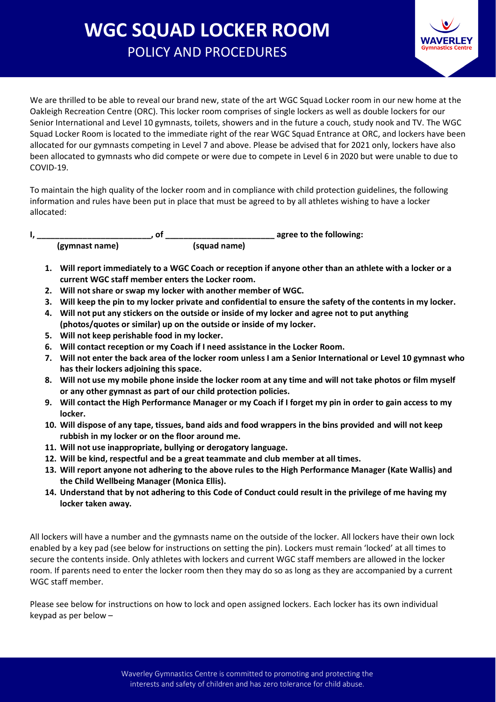## **WGC SQUAD LOCKER ROOM**  POLICY AND PROCEDURES



We are thrilled to be able to reveal our brand new, state of the art WGC Squad Locker room in our new home at the Oakleigh Recreation Centre (ORC). This locker room comprises of single lockers as well as double lockers for our Senior International and Level 10 gymnasts, toilets, showers and in the future a couch, study nook and TV. The WGC Squad Locker Room is located to the immediate right of the rear WGC Squad Entrance at ORC, and lockers have been allocated for our gymnasts competing in Level 7 and above. Please be advised that for 2021 only, lockers have also been allocated to gymnasts who did compete or were due to compete in Level 6 in 2020 but were unable to due to COVID-19.

To maintain the high quality of the locker room and in compliance with child protection guidelines, the following information and rules have been put in place that must be agreed to by all athletes wishing to have a locker allocated:

**I, \_\_\_\_\_\_\_\_\_\_\_\_\_\_\_\_\_\_\_\_\_\_\_\_\_, of \_\_\_\_\_\_\_\_\_\_\_\_\_\_\_\_\_\_\_\_\_\_\_\_ agree to the following: (gymnast name) (squad name)**

- **1. Will report immediately to a WGC Coach or reception if anyone other than an athlete with a locker or a current WGC staff member enters the Locker room.**
- **2. Will not share or swap my locker with another member of WGC.**
- **3. Will keep the pin to my locker private and confidential to ensure the safety of the contents in my locker.**
- **4. Will not put any stickers on the outside or inside of my locker and agree not to put anything (photos/quotes or similar) up on the outside or inside of my locker.**
- **5. Will not keep perishable food in my locker.**
- **6. Will contact reception or my Coach if I need assistance in the Locker Room.**
- **7. Will not enter the back area of the locker room unless I am a Senior International or Level 10 gymnast who has their lockers adjoining this space.**
- **8. Will not use my mobile phone inside the locker room at any time and will not take photos or film myself or any other gymnast as part of our child protection policies.**
- **9. Will contact the High Performance Manager or my Coach if I forget my pin in order to gain access to my locker.**
- **10. Will dispose of any tape, tissues, band aids and food wrappers in the bins provided and will not keep rubbish in my locker or on the floor around me.**
- **11. Will not use inappropriate, bullying or derogatory language.**
- **12. Will be kind, respectful and be a great teammate and club member at all times.**
- **13. Will report anyone not adhering to the above rules to the High Performance Manager (Kate Wallis) and the Child Wellbeing Manager (Monica Ellis).**
- **14. Understand that by not adhering to this Code of Conduct could result in the privilege of me having my locker taken away.**

All lockers will have a number and the gymnasts name on the outside of the locker. All lockers have their own lock enabled by a key pad (see below for instructions on setting the pin). Lockers must remain 'locked' at all times to secure the contents inside. Only athletes with lockers and current WGC staff members are allowed in the locker room. If parents need to enter the locker room then they may do so as long as they are accompanied by a current WGC staff member.

Please see below for instructions on how to lock and open assigned lockers. Each locker has its own individual keypad as per below –